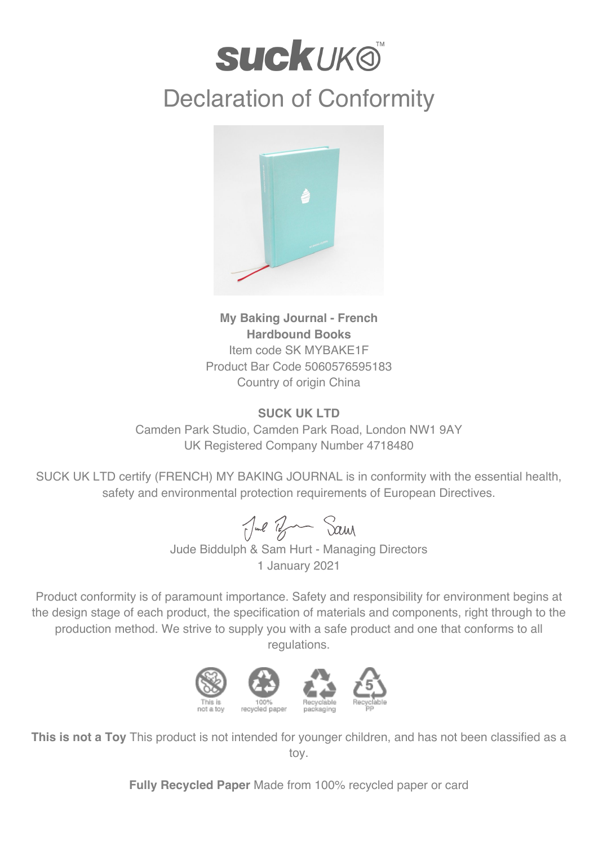## **suckuk®** Declaration of Conformity



**My Baking Journal - French Hardbound Books** Item code SK MYBAKE1F Product Bar Code 5060576595183 Country of origin China

## **SUCK UK LTD**

Camden Park Studio, Camden Park Road, London NW1 9AY UK Registered Company Number 4718480

SUCK UK LTD certify (FRENCH) MY BAKING JOURNAL is in conformity with the essential health, safety and environmental protection requirements of European Directives.

Jul Ban Sam

Jude Biddulph & Sam Hurt - Managing Directors 1 January 2021

Product conformity is of paramount importance. Safety and responsibility for environment begins at the design stage of each product, the specification of materials and components, right through to the production method. We strive to supply you with a safe product and one that conforms to all regulations.



**This is not a Toy** This product is not intended for younger children, and has not been classified as a toy.

**Fully Recycled Paper** Made from 100% recycled paper or card